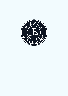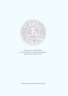

Our menu may contain allergens. If you are intolerent or suffer from food allergies, please inform a member of staff.

Minimum charge £15pp during the evening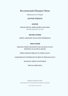## *Recommended Banquet Menu*

Minimum for 4 People

## **£40 PER PERSON**

### **STARTER**

**HOUSE SPECIAL MIXED HORS D'OEUVRES** Specially prepared by our chef

#### **SECOND COURSE**

### **CRISPY AROMATIC DUCK WITH TRIMMINGS**

### **MAIN COURSE**

### **SIZZLING MIXED SEAFOOD IN BLACK BEAN SAUCE (PRAWNS, SCALLOPS & SQUID)**

### **FRIED CHICKEN BREAST IN LEMON SAUCE**

### **CHARGRILLED TENDERLOIN OF BEEF IN TERIYAKI SAUCE**

#### **SEASONAL MIXED VEGETABLES**

#### **SPECIAL FRIED RICE**

All prices inclusive of VAT. A discretional 10% service charge will be added to your final bill.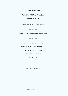## *MENU PRIX FIXE*

### *DINNER FOR TWO OR MORE*

### **£37 PER PERSON**

**HOUSE SPECIAL MIXED HORS D'OEUVRES**

 $000-$ 

**CRISPY AROMATIC DUCK WITH TRIMMINGS**

 $000$  —

**PRAWNS WITH GINGER & SPRING ONION**

**CHICKEN WITH BLACK BEAN SAUCE**

**CRISPY SHREDDED CHILLI BEEF**

**SEASONAL MIXED VEGETABLES**

**FRIED RICE**

 $000$  —

All dishes are not changeable.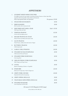# *APPETISERS*

| 1.  | <b>GOURMET MIXED HORS D'OEUVRES</b><br>Five different starters for your palate (Consisting of Sesame Prawns on Toast, Spare Ribs,<br>Vegetarian Mini Spring Rolls, Satay Chicken and Seaweed), |                   |             |
|-----|------------------------------------------------------------------------------------------------------------------------------------------------------------------------------------------------|-------------------|-------------|
|     | Price is per person (min, two persons)                                                                                                                                                         | Per person £15.00 |             |
| 2.  | <b>STEAM DIM SUM BASKETS</b>                                                                                                                                                                   |                   | £9.50       |
| 3.  | <b>FRIED SEAWEED</b><br>Rich in protein, this is a favourite dish                                                                                                                              |                   | £9.00       |
| 4.  | DEEP FRIED SOFT SHELL CRAB<br>With Spiced Salt and Chilli                                                                                                                                      |                   | Each £15.50 |
| 5.  | <b>TEMPURA PRAWNS</b><br>(Served with soy dipping sauce)                                                                                                                                       |                   | £13.50      |
| 6.  | <b>SESAME PRAWNS ON TOAST</b><br>Minced Prawns sprinkled with Sesame Seeds                                                                                                                     |                   | £10.50      |
| 7.  | <b>SAUTE PRAWNS</b><br>Peeled Prawns, shallow fried with Garlic & Pepper                                                                                                                       |                   | £10.50      |
| 8.  | <b>BUTTERFLY PRAWNS</b><br>(With breadcrumb)                                                                                                                                                   |                   | £10.50      |
| 9.  | <b>GARLIC CHILLI PRAWNS</b>                                                                                                                                                                    |                   | £10.50      |
| 10. | STEAMED SUI MAI DUMPLINGS<br>(With minced Pork and Prawns)                                                                                                                                     |                   | £9.50       |
| 11. | STEAMED PORK DUMPLINGS<br>(Siu Loong Bun)                                                                                                                                                      |                   | £9.50       |
| 12. | <b>GRILLED PEKING PORK DUMPLINGS</b><br>With Vinegar and Ginger Sauce                                                                                                                          |                   | £9.50       |
| 13. | <b>GYOZA</b><br>Japenese Dumplings (Chicken or Vegetable)                                                                                                                                      |                   | £9.50       |
| 14. | <b>SPARE RIBS</b><br>Barbecued • Fruity Sauce • Salt & Peppercorn                                                                                                                              |                   | £10.50      |
| 15. | <b>CRISPY PORK CHUNKS</b><br>Deep fried Pork with rich seasoning                                                                                                                               |                   | £10.00      |
| 16. | <b>CRISPY SPRING ROLLS (2)</b>                                                                                                                                                                 |                   | £9.00       |
| 17. | <b>VEGETARIAN MINI SPRING ROLLS (6)</b>                                                                                                                                                        |                   | £8.50       |
| 18. | <b>STEAMED EDAMAME</b><br>Green Soya Beans with Sea Salt                                                                                                                                       |                   | £8.50       |

All sauces @ £3.50 (Regular) £5.00 (Large)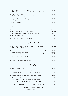| 19. LETTUCE WRAPPED CHICKEN<br>Minced Chicken sauteéd with Mushrooms, Water Chestnuts and Bamboo Shoots            | f10.00            |
|--------------------------------------------------------------------------------------------------------------------|-------------------|
| <b>SMOKED CHICKEN</b><br>Shredded Chicken fried in a light batter and sprinkled with Szechuan seasoning            | £10.50            |
| SATAY CHICKEN OR BEEF<br>A highly spiced South Sea dish, rather hot                                                | £12.00            |
| 21a. SATAY MUSHROOMS                                                                                               | £10.00            |
| MARINATED DUCK SHREDDED WITH SPRING ONION<br>Delicious!                                                            | £10.00            |
| CRISPY FRIED SQUID                                                                                                 | £10.50            |
| <b>STEAMED SCALLOP</b> (minimum 2 scallops)<br>With Chilli and Basil or Black Beans and Chilli in light Soya Sauce | Seasonal<br>Price |
| <b>PRAWN CRACKERS</b>                                                                                              | £3.50             |
| 26. THAI SPICY PRAWN CRACKERS                                                                                      | £4.50             |
|                                                                                                                    |                   |

# *IN BETWEEN*

|     | 27. LOBSTER BAKED WITH GINGER & SPRING ONIONS<br>ON A BED OF NOODLES (Min 24 hours advance notice required) |                          | Seasonal<br>Price          |
|-----|-------------------------------------------------------------------------------------------------------------|--------------------------|----------------------------|
| 28. | <b>CRISPY DUCK</b><br>Rolled in Pancake with sliced Cucumber,<br>Spring Onion and Hoisin sauce              | Quarter<br>Half<br>Whole | £16.50<br>£31.00<br>£59.50 |
| 29. | <b>CRISPY FRAGRANT LAMB</b><br>Served with Plum Sauce and Lettuce Wraps                                     |                          | £16.50                     |
|     | 29a. MOCK CRISPY DUCK (Vegetarian)                                                                          |                          | £16.5()                    |

# *SOUPS*

|     | 30. HOT & SOUR SOUP<br>Hot & Sour Soup with Chilli. Favourite dish of Northern China | £8.00 |
|-----|--------------------------------------------------------------------------------------|-------|
| 31. | <b>CREAM OF CHICKEN AND SWEETCORN SOUP</b>                                           | £8.00 |
| 32. | CREAM OF CRABMEAT AND SWEETCORN SOUP                                                 | £8.50 |
| 33. | WAN TUN SOUP<br>Minced Pork wrapped in fine Thin Chinese Ravioli and softly boiled   | £8.50 |
| 34. | TOM YAM GAI - THAI SPICY SOUP WITH CHICKEN                                           | £8.50 |
| 35. | TOM YAM GOONG - THAI SPICY SOUP WITH PRAWNS                                          | f9.00 |
|     |                                                                                      |       |

All sauces @ £3.50 (Regular) £5.00 (Large)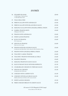# *ENTRéE*

| 36. | <b>STEAMED SEA BASS</b><br>• With Ginger & Spring Onion<br>• With Black Bean Sauce                     | £29.00 |
|-----|--------------------------------------------------------------------------------------------------------|--------|
| 37. | <b>THAI CHILLI FISH</b>                                                                                | £25.00 |
| 38. | FRIED SCALLOPS WITH ASPARAGUS                                                                          | £15.00 |
| 39. | FRIED SCALLOPS WITH BLACK BEAN SAUCE                                                                   | £15.00 |
| 40. | SIZZLING SCALLOPS WITH GINGER & SPRING ONION                                                           | £15.50 |
| 41. | <b>SAMBAL PRAWNS (HOT)</b><br>(Malaysian Chilli Paste)                                                 | £14.00 |
| 42. | PRAWNS WITH ASPARAGUS                                                                                  | £14.00 |
| 43. | <b>SWEET &amp; SOUR PRAWNS</b>                                                                         | £14.00 |
| 44. | <b>KUNG PO PRAWNS</b><br>Hot & spicy sauce                                                             | £14.00 |
| 45. | <b>SZECHUAN PRAWNS</b><br>Tastes sour, hot & spicy                                                     | £14.00 |
| 46. | PRAWNS WITH BLACK BEAN SAUCE<br>Gently fried with Black Bean, Garlic, favourite dish of Southern China | £14.00 |
| 47. | PRAWNS WITH GINGER & SPRING ONION                                                                      | £14.00 |
| 48. | THAI SPICY GARLIC PRAWNS                                                                               | £14.00 |
| 49. | THAI SPICY PRAWNS WITH BASIL & CHILLI                                                                  | £14.00 |
| 50. | <b>SEASPICE PRAWNS</b>                                                                                 | £14.00 |
| 51. | SIZZLING PRAWNS IN SATAY SAUCE                                                                         | £15.00 |
| 52. | SLICE OF ROAST DUCK WITH BEANSPROUTS                                                                   | £11.50 |
| 53. | CHARGRILLED CHICKEN IN TERIYAKI SAUCE                                                                  | £12.50 |
| 54. | <b>SZECHUAN CHICKEN</b><br>Gently fried with Chilli sauce                                              | £11.00 |
| 55. | CHICKEN WITH CASHEW NUTS                                                                               | £11.00 |
| 56. | CHICKEN WITH BLACK BEAN SAUCE<br>Shallow fried breast of Chicken with a touch of Garlic                | £11.00 |
| 57. | <b>SWEET &amp; SOUR CHICKEN</b>                                                                        | £11.00 |
| 58. | FRIED CHICKEN BREAST IN LEMON SAUCE                                                                    | £11.00 |

All sauces @ £3.50 (Regular) £5.00 (Large)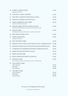| 59. | <b>SAMBAL CHICKEN (HOT)</b><br>(Malaysian Chilli Paste)                                                       | £11.00                     |
|-----|---------------------------------------------------------------------------------------------------------------|----------------------------|
| 60. | THAI SPICY GARLIC CHICKEN                                                                                     | £11.00                     |
| 61. | THAI SPICY CHICKEN WITH BASIL & CHILLI                                                                        | £11.00                     |
| 62. | SIZZLING CHICKEN IN SATAY SAUCE                                                                               | £11.00                     |
| 63. | CRISPY SHREDDED CHILLI BEEF<br>Deep fried with a taste of sweetness                                           | £11.00                     |
| 64. | SIZZLING BEEF WITH BLACK BEAN SAUCE<br>Gently fried with Black Bean, Garlic, favourite dish of Southern China | £12.00                     |
| 65. | <b>SIZZLING BEEF</b><br>Sliced Beef with Ginger and Spring Onion served on a Hot Iron Pan                     | £12.00                     |
| 66. | <b>BEEF WITH CASHEW NUTS</b>                                                                                  | £11.00                     |
| 67. | <b>SAMBAL BEEF (HOT)</b><br>(Malaysian Chilli Paste)                                                          | £11.00                     |
| 68. | <b>HOT AND SPICEY BEEF</b>                                                                                    | £11.00                     |
| 69. | SIZZLING FILLET STEAK WITH FRUITY SAUCE "CHINESE STYLE"                                                       | £16.00                     |
| 70. | SIZZLING SLICED FILLET STEAK WITH BLACK PEPPER SAUCE                                                          | £16.00                     |
| 71. | CHARGRILLED TENDERLOIN OF BEEF IN TERIYAKI SAUCE                                                              | £16.50                     |
| 72. | PORK CHUNKS WITH FRUITY SAUCE                                                                                 | £11.00                     |
| 73. | <b>SWEET &amp; SOUR PORK</b>                                                                                  | £11.00                     |
| 74. | ROAST PORK WITH HONEY (CHAR SUI)                                                                              | £11.50                     |
| 75. | <b>SIZZLING LAMB</b><br>Sliced Lamb with Ginger and Spring Onion served on a Hot Iron Pan                     | £12.00                     |
| 76. | <b>THAI GREEN CURRY</b><br>WITH CHICKEN<br>WITH BEEF<br><b>WITH PRAWNS</b>                                    | £11.50<br>£11.50<br>£14.00 |
| 77. | <b>THAI RED CURRY</b><br>WITH CHICKEN<br><b>WITH BEEF</b><br><b>WITH PRAWNS</b>                               | £11.50<br>£11.50<br>£14.00 |

All sauces @ £3.50 (Regular) £5.00 (Large)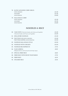| 78. KATSU JAPANESE CURRY (MILD) |        |
|---------------------------------|--------|
| <b>WITH CHICKEN</b>             | £11.50 |
| <b>WITH BEEF</b>                | £11.50 |
| WITH PRAWNS                     | £14.00 |
| 79. MALAYSIAN CURRY             |        |
| WITH CHICKEN                    | £11.50 |
| <b>WITH BEEF</b>                | £11.50 |
| WITH PRAWNS                     | £14.00 |
|                                 |        |

# *NOODLES & RICE*

|     | 80. YAKI UDON (Thick fried Noodles with Chicken and Vegetables)             | £11.00           |
|-----|-----------------------------------------------------------------------------|------------------|
|     | (Thick fried Noodles with Prawns and Vegetables)                            | £12.50           |
| 81. | <b>SINGAPORE NOODLES</b>                                                    | £11.00           |
|     | 82. PAD THAI GAI (WITH CHICKEN)<br>PAD THAI GOONG (WITH PRAWNS)             | £11.00<br>£12.50 |
| 83. | NOODLES MALAYSIAN STYLE                                                     | £10.50           |
|     | 84. NOODLES WITH CHICKEN                                                    | £10.50           |
|     | 85. NOODLES BEANSPROUTS                                                     | £7.50            |
|     | 86. NASI GORENG<br>Malaysian fried rice with roast pork and shrimps (spicy) | £8.00            |
| 87. | <b>SPECIAL FRIED RICE</b>                                                   | £8.00            |
| 88. | FRIED RICE WITH DICED VEGETABLES                                            | £7.50            |
| 89. | <b>FRIED RICE</b>                                                           | £6.50            |
|     | 90. STEAMED RICE                                                            | £5.50            |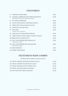## *VEGETABLES*

| 91  | <b>TEMPURA VEGETABLES</b>                                                                    | £9.50  |
|-----|----------------------------------------------------------------------------------------------|--------|
| 92. | STUFFED AUBERGINE WITH MINCED PRAWNS<br>With Black Bean Sauce (Not suitable for vegetarians) | £12.50 |
| 93. | <b>SEA SPICE AUBERGINE</b>                                                                   | £8.50  |
| 94. | MA-PO CHILLI BEAN CURD (HOT & SPICY)                                                         | £8.50  |
| 95. | FRIED TOFU IN BLACK BEAN SAUCE                                                               | £8.50  |
| 96. | <b>SZECHUAN STYLED TOFU</b>                                                                  | £8.50  |
| 97. | PAK CHOI<br>(In oyster sauce or garlic sauce)                                                | f8.00  |
| 98. | <b>SZECHUAN STYLED FRENCH BEANS</b>                                                          | £8.50  |
| 99. | FRENCH BEAN WITH GARLIC AND SOYA SAUCE                                                       | £8.50  |
|     | 100. BROCOLI IN OYSTER SAUCE                                                                 | £8.00  |
|     | 101. SALT AND PEPPERCORN ASPARAGUS<br>(With garlic and chilliI)                              | f9.00  |
|     | 102. SALT AND PEPPERCORN COURGETTES<br>(With garlic and chilliI)                             | £9.00  |
|     | 103. BEAN SPROUTS                                                                            | £7.00  |
|     | 104. MIXED VEGETABLES                                                                        | f7.00  |

# *VEGETARIAN MAIN COURSE*

All Mock Chicken dishes are made with soya

| 105. MOCK CHICKEN WITH BLACK BEAN SAUCE | £11.00    |
|-----------------------------------------|-----------|
| 106. MOCK CHICKEN IN SZECHUAN SAUCE     | £11.00    |
| 107. MOCK CHICKEN WITH CASHEW NUTS      | $f$ 11.00 |
| 108. SWEET AND SOUR MOCK CHICKEN        | f11.00    |
| 109. HOT AND SPICY MOCK CHICKEN         | f1100     |